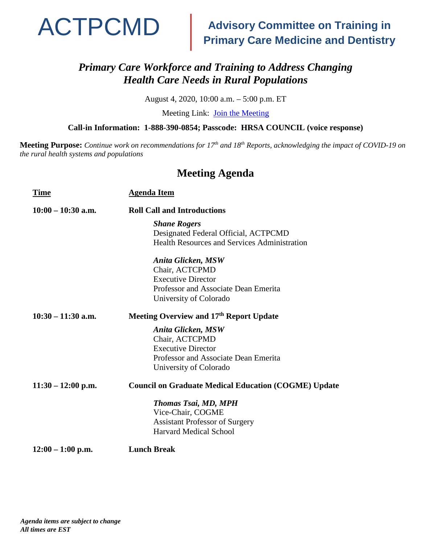

## **Advisory Committee on Training in Primary Care Medicine and Dentistry**

#### *Primary Care Workforce and Training to Address Changing Health Care Needs in Rural Populations*

August 4, 2020, 10:00 a.m. – 5:00 p.m. ET

Meeting Link: [Join the Meeting](https://hrsa.connectsolutions.com/ACTPCMD)

**Call-in Information: 1-888-390-0854; Passcode: HRSA COUNCIL (voice response)**

**Meeting Purpose:** *Continue work on recommendations for 17th and 18th Reports, acknowledging the impact of COVID-19 on the rural health systems and populations*

#### **Meeting Agenda**

| <b>Time</b>          | <b>Agenda Item</b>                                          |
|----------------------|-------------------------------------------------------------|
| $10:00 - 10:30$ a.m. | <b>Roll Call and Introductions</b>                          |
|                      | <b>Shane Rogers</b>                                         |
|                      | Designated Federal Official, ACTPCMD                        |
|                      | <b>Health Resources and Services Administration</b>         |
|                      | Anita Glicken, MSW                                          |
|                      | Chair, ACTCPMD                                              |
|                      | <b>Executive Director</b>                                   |
|                      | Professor and Associate Dean Emerita                        |
|                      | University of Colorado                                      |
| $10:30 - 11:30$ a.m. | Meeting Overview and 17th Report Update                     |
|                      | Anita Glicken, MSW                                          |
|                      | Chair, ACTCPMD                                              |
|                      | <b>Executive Director</b>                                   |
|                      | Professor and Associate Dean Emerita                        |
|                      | University of Colorado                                      |
| $11:30 - 12:00$ p.m. | <b>Council on Graduate Medical Education (COGME) Update</b> |
|                      | <b>Thomas Tsai, MD, MPH</b>                                 |
|                      | Vice-Chair, COGME                                           |
|                      | <b>Assistant Professor of Surgery</b>                       |
|                      | <b>Harvard Medical School</b>                               |
| $12:00 - 1:00$ p.m.  | <b>Lunch Break</b>                                          |